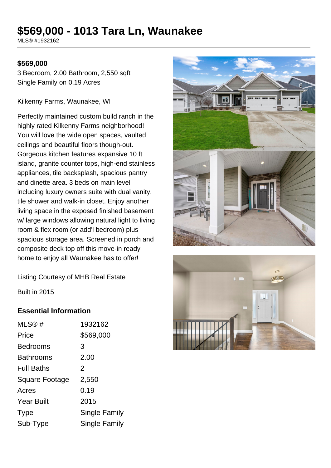# **\$569,000 - 1013 Tara Ln, Waunakee**

MLS® #1932162

#### **\$569,000**

3 Bedroom, 2.00 Bathroom, 2,550 sqft Single Family on 0.19 Acres

Kilkenny Farms, Waunakee, WI

Perfectly maintained custom build ranch in the highly rated Kilkenny Farms neighborhood! You will love the wide open spaces, vaulted ceilings and beautiful floors though-out. Gorgeous kitchen features expansive 10 ft island, granite counter tops, high-end stainless appliances, tile backsplash, spacious pantry and dinette area. 3 beds on main level including luxury owners suite with dual vanity, tile shower and walk-in closet. Enjoy another living space in the exposed finished basement w/ large windows allowing natural light to living room & flex room (or add'l bedroom) plus spacious storage area. Screened in porch and composite deck top off this move-in ready home to enjoy all Waunakee has to offer!



Listing Courtesy of MHB Real Estate

Built in 2015

#### **Essential Information**

| MLS@#                 | 1932162              |
|-----------------------|----------------------|
| Price                 | \$569,000            |
| <b>Bedrooms</b>       | 3                    |
| <b>Bathrooms</b>      | 2.00                 |
| <b>Full Baths</b>     | $\mathcal{P}$        |
| <b>Square Footage</b> | 2,550                |
| Acres                 | 0.19                 |
| <b>Year Built</b>     | 2015                 |
| <b>Type</b>           | <b>Single Family</b> |
| Sub-Type              | <b>Single Family</b> |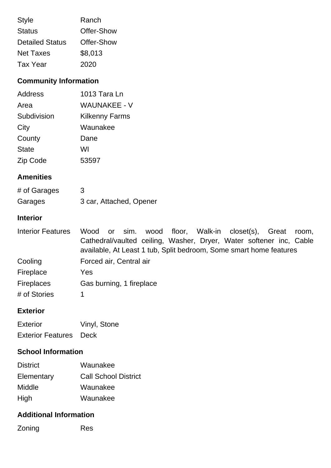| <b>Style</b>           | Ranch      |
|------------------------|------------|
| <b>Status</b>          | Offer-Show |
| <b>Detailed Status</b> | Offer-Show |
| <b>Net Taxes</b>       | \$8,013    |
| Tax Year               | 2020       |

# **Community Information**

| <b>Address</b> | 1013 Tara Ln          |
|----------------|-----------------------|
| Area           | <b>WAUNAKEE - V</b>   |
| Subdivision    | <b>Kilkenny Farms</b> |
| City           | Waunakee              |
| County         | Dane                  |
| <b>State</b>   | WI                    |
| Zip Code       | 53597                 |

### **Amenities**

| # of Garages | 3                       |
|--------------|-------------------------|
| Garages      | 3 car, Attached, Opener |

## **Interior**

| <b>Interior Features</b> | Wood or sim. wood floor, Walk-in closet(s), Great room,             |  |  |  |
|--------------------------|---------------------------------------------------------------------|--|--|--|
|                          | Cathedral/vaulted ceiling, Washer, Dryer, Water softener inc, Cable |  |  |  |
|                          | available, At Least 1 tub, Split bedroom, Some smart home features  |  |  |  |
| Cooling                  | Forced air, Central air                                             |  |  |  |
| Fireplace                | Yes                                                                 |  |  |  |
| <b>Fireplaces</b>        | Gas burning, 1 fireplace                                            |  |  |  |
| # of Stories             |                                                                     |  |  |  |

### **Exterior**

| <b>Exterior</b>               | Vinyl, Stone |
|-------------------------------|--------------|
| <b>Exterior Features</b> Deck |              |

# **School Information**

| <b>District</b> | Waunakee                    |
|-----------------|-----------------------------|
| Elementary      | <b>Call School District</b> |
| Middle          | Waunakee                    |
| High            | Waunakee                    |

### **Additional Information**

Zoning Res